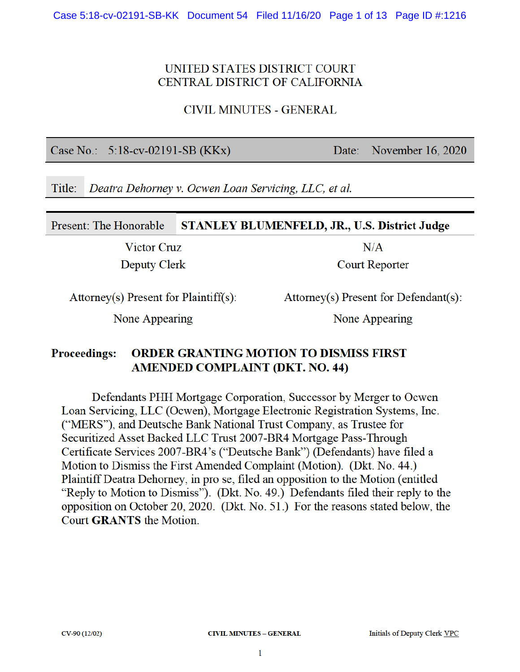#### UNITED STATES DISTRICT COURT CENTRAL DISTRICT OF CALIFORNIA

**CIVIL MINUTES - GENERAL** 

Case No.:  $5:18$ -cv-02191-SB (KKx)

November 16, 2020 Date:

Title: Deatra Dehorney v. Ocwen Loan Servicing, LLC, et al.

#### Present: The Honorable STANLEY BLUMENFELD, JR., U.S. District Judge

Victor Cruz Deputy Clerk  $N/A$ 

**Court Reporter** 

Attorney(s) Present for Plaintiff(s):

Attorney(s) Present for Defendant(s):

None Appearing

None Appearing

#### **Proceedings: ORDER GRANTING MOTION TO DISMISS FIRST AMENDED COMPLAINT (DKT. NO. 44)**

Defendants PHH Mortgage Corporation, Successor by Merger to Ocwen Loan Servicing, LLC (Ocwen), Mortgage Electronic Registration Systems, Inc. ("MERS"), and Deutsche Bank National Trust Company, as Trustee for Securitized Asset Backed LLC Trust 2007-BR4 Mortgage Pass-Through Certificate Services 2007-BR4's ("Deutsche Bank") (Defendants) have filed a Motion to Dismiss the First Amended Complaint (Motion). (Dkt. No. 44.) Plaintiff Deatra Dehorney, in pro se, filed an opposition to the Motion (entitled "Reply to Motion to Dismiss"). (Dkt. No. 49.) Defendants filed their reply to the opposition on October 20, 2020. (Dkt. No. 51.) For the reasons stated below, the Court **GRANTS** the Motion.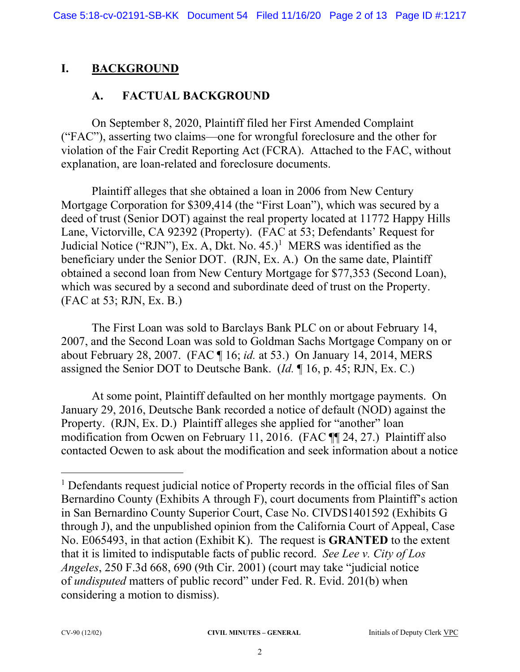# **I. BACKGROUND**

## **A. FACTUAL BACKGROUND**

On September 8, 2020, Plaintiff filed her First Amended Complaint ("FAC"), asserting two claims—one for wrongful foreclosure and the other for violation of the Fair Credit Reporting Act (FCRA). Attached to the FAC, without explanation, are loan-related and foreclosure documents.

Plaintiff alleges that she obtained a loan in 2006 from New Century Mortgage Corporation for \$309,414 (the "First Loan"), which was secured by a deed of trust (Senior DOT) against the real property located at 11772 Happy Hills Lane, Victorville, CA 92392 (Property). (FAC at 53; Defendants' Request for Judicial Notice ("RJN"), Ex. A, Dkt. No.  $45.$ <sup>1</sup> MERS was identified as the beneficiary under the Senior DOT. (RJN, Ex. A.) On the same date, Plaintiff obtained a second loan from New Century Mortgage for \$77,353 (Second Loan), which was secured by a second and subordinate deed of trust on the Property. (FAC at 53; RJN, Ex. B.)

The First Loan was sold to Barclays Bank PLC on or about February 14, 2007, and the Second Loan was sold to Goldman Sachs Mortgage Company on or about February 28, 2007. (FAC ¶ 16; *id.* at 53.) On January 14, 2014, MERS assigned the Senior DOT to Deutsche Bank. (*Id.* ¶ 16, p. 45; RJN, Ex. C.)

At some point, Plaintiff defaulted on her monthly mortgage payments. On January 29, 2016, Deutsche Bank recorded a notice of default (NOD) against the Property. (RJN, Ex. D.) Plaintiff alleges she applied for "another" loan modification from Ocwen on February 11, 2016. (FAC ¶¶ 24, 27.) Plaintiff also contacted Ocwen to ask about the modification and seek information about a notice

<sup>&</sup>lt;sup>1</sup> Defendants request judicial notice of Property records in the official files of San Bernardino County (Exhibits A through F), court documents from Plaintiff's action in San Bernardino County Superior Court, Case No. CIVDS1401592 (Exhibits G through J), and the unpublished opinion from the California Court of Appeal, Case No. E065493, in that action (Exhibit K). The request is **GRANTED** to the extent that it is limited to indisputable facts of public record. *See Lee v. City of Los Angeles*, 250 F.3d 668, 690 (9th Cir. 2001) (court may take "judicial notice of *undisputed* matters of public record" under Fed. R. Evid. 201(b) when considering a motion to dismiss).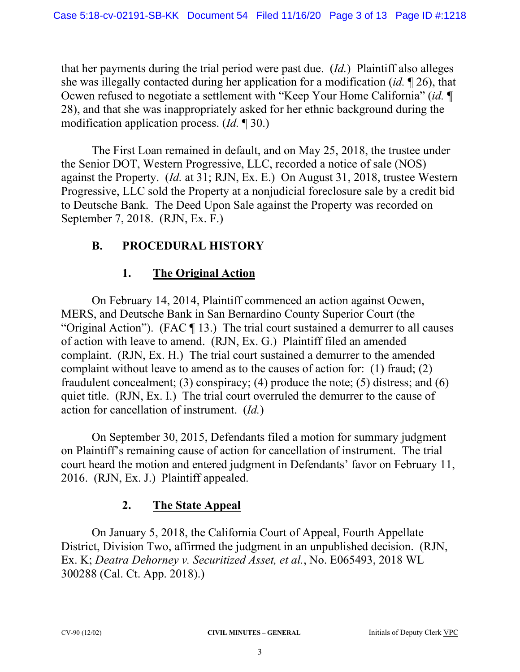that her payments during the trial period were past due. (*Id.*) Plaintiff also alleges she was illegally contacted during her application for a modification (*id.* ¶ 26), that Ocwen refused to negotiate a settlement with "Keep Your Home California" (*id.* ¶ 28), and that she was inappropriately asked for her ethnic background during the modification application process. (*Id.* ¶ 30.)

The First Loan remained in default, and on May 25, 2018, the trustee under the Senior DOT, Western Progressive, LLC, recorded a notice of sale (NOS) against the Property. (*Id.* at 31; RJN, Ex. E.) On August 31, 2018, trustee Western Progressive, LLC sold the Property at a nonjudicial foreclosure sale by a credit bid to Deutsche Bank. The Deed Upon Sale against the Property was recorded on September 7, 2018. (RJN, Ex. F.)

## **B. PROCEDURAL HISTORY**

# **1. The Original Action**

On February 14, 2014, Plaintiff commenced an action against Ocwen, MERS, and Deutsche Bank in San Bernardino County Superior Court (the "Original Action"). (FAC ¶ 13.) The trial court sustained a demurrer to all causes of action with leave to amend. (RJN, Ex. G.) Plaintiff filed an amended complaint. (RJN, Ex. H.) The trial court sustained a demurrer to the amended complaint without leave to amend as to the causes of action for: (1) fraud; (2) fraudulent concealment; (3) conspiracy; (4) produce the note; (5) distress; and (6) quiet title. (RJN, Ex. I.) The trial court overruled the demurrer to the cause of action for cancellation of instrument. (*Id.*)

On September 30, 2015, Defendants filed a motion for summary judgment on Plaintiff's remaining cause of action for cancellation of instrument. The trial court heard the motion and entered judgment in Defendants' favor on February 11, 2016. (RJN, Ex. J.) Plaintiff appealed.

## **2. The State Appeal**

On January 5, 2018, the California Court of Appeal, Fourth Appellate District, Division Two, affirmed the judgment in an unpublished decision. (RJN, Ex. K; *Deatra Dehorney v. Securitized Asset, et al.*, No. E065493, 2018 WL 300288 (Cal. Ct. App. 2018).)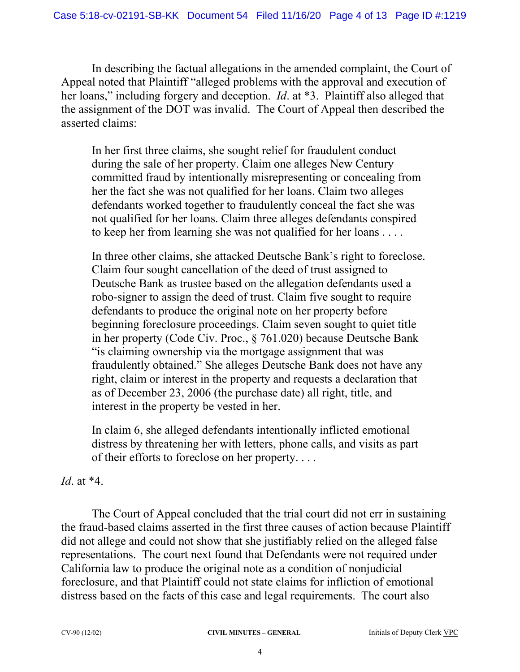In describing the factual allegations in the amended complaint, the Court of Appeal noted that Plaintiff "alleged problems with the approval and execution of her loans," including forgery and deception. *Id*. at \*3. Plaintiff also alleged that the assignment of the DOT was invalid. The Court of Appeal then described the asserted claims:

In her first three claims, she sought relief for fraudulent conduct during the sale of her property. Claim one alleges New Century committed fraud by intentionally misrepresenting or concealing from her the fact she was not qualified for her loans. Claim two alleges defendants worked together to fraudulently conceal the fact she was not qualified for her loans. Claim three alleges defendants conspired to keep her from learning she was not qualified for her loans . . . .

In three other claims, she attacked Deutsche Bank's right to foreclose. Claim four sought cancellation of the deed of trust assigned to Deutsche Bank as trustee based on the allegation defendants used a robo-signer to assign the deed of trust. Claim five sought to require defendants to produce the original note on her property before beginning foreclosure proceedings. Claim seven sought to quiet title in her property (Code Civ. Proc., § 761.020) because Deutsche Bank "is claiming ownership via the mortgage assignment that was fraudulently obtained." She alleges Deutsche Bank does not have any right, claim or interest in the property and requests a declaration that as of December 23, 2006 (the purchase date) all right, title, and interest in the property be vested in her.

In claim 6, she alleged defendants intentionally inflicted emotional distress by threatening her with letters, phone calls, and visits as part of their efforts to foreclose on her property. . . .

*Id*. at \*4.

The Court of Appeal concluded that the trial court did not err in sustaining the fraud-based claims asserted in the first three causes of action because Plaintiff did not allege and could not show that she justifiably relied on the alleged false representations. The court next found that Defendants were not required under California law to produce the original note as a condition of nonjudicial foreclosure, and that Plaintiff could not state claims for infliction of emotional distress based on the facts of this case and legal requirements. The court also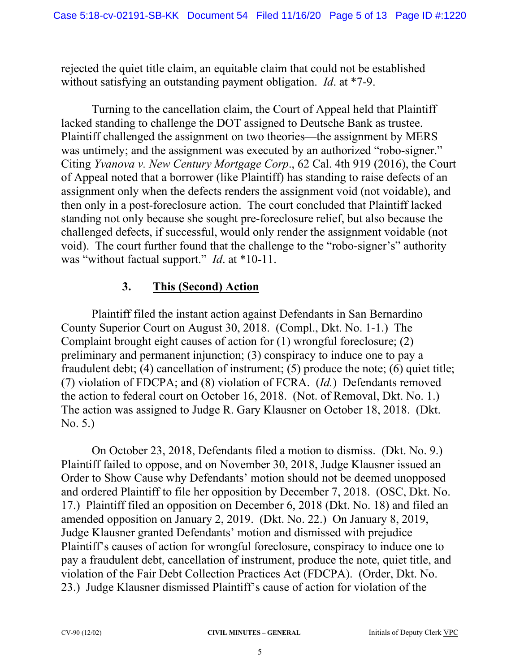rejected the quiet title claim, an equitable claim that could not be established without satisfying an outstanding payment obligation. *Id*. at \*7-9.

Turning to the cancellation claim, the Court of Appeal held that Plaintiff lacked standing to challenge the DOT assigned to Deutsche Bank as trustee. Plaintiff challenged the assignment on two theories—the assignment by MERS was untimely; and the assignment was executed by an authorized "robo-signer." Citing *Yvanova v. New Century Mortgage Corp*., 62 Cal. 4th 919 (2016), the Court of Appeal noted that a borrower (like Plaintiff) has standing to raise defects of an assignment only when the defects renders the assignment void (not voidable), and then only in a post-foreclosure action. The court concluded that Plaintiff lacked standing not only because she sought pre-foreclosure relief, but also because the challenged defects, if successful, would only render the assignment voidable (not void). The court further found that the challenge to the "robo-signer's" authority was "without factual support." *Id*. at \*10-11.

#### **3. This (Second) Action**

Plaintiff filed the instant action against Defendants in San Bernardino County Superior Court on August 30, 2018. (Compl., Dkt. No. 1-1.) The Complaint brought eight causes of action for (1) wrongful foreclosure; (2) preliminary and permanent injunction; (3) conspiracy to induce one to pay a fraudulent debt; (4) cancellation of instrument; (5) produce the note; (6) quiet title; (7) violation of FDCPA; and (8) violation of FCRA. (*Id.*) Defendants removed the action to federal court on October 16, 2018. (Not. of Removal, Dkt. No. 1.) The action was assigned to Judge R. Gary Klausner on October 18, 2018. (Dkt. No. 5.)

On October 23, 2018, Defendants filed a motion to dismiss. (Dkt. No. 9.) Plaintiff failed to oppose, and on November 30, 2018, Judge Klausner issued an Order to Show Cause why Defendants' motion should not be deemed unopposed and ordered Plaintiff to file her opposition by December 7, 2018. (OSC, Dkt. No. 17.) Plaintiff filed an opposition on December 6, 2018 (Dkt. No. 18) and filed an amended opposition on January 2, 2019. (Dkt. No. 22.) On January 8, 2019, Judge Klausner granted Defendants' motion and dismissed with prejudice Plaintiff's causes of action for wrongful foreclosure, conspiracy to induce one to pay a fraudulent debt, cancellation of instrument, produce the note, quiet title, and violation of the Fair Debt Collection Practices Act (FDCPA). (Order, Dkt. No. 23.) Judge Klausner dismissed Plaintiff's cause of action for violation of the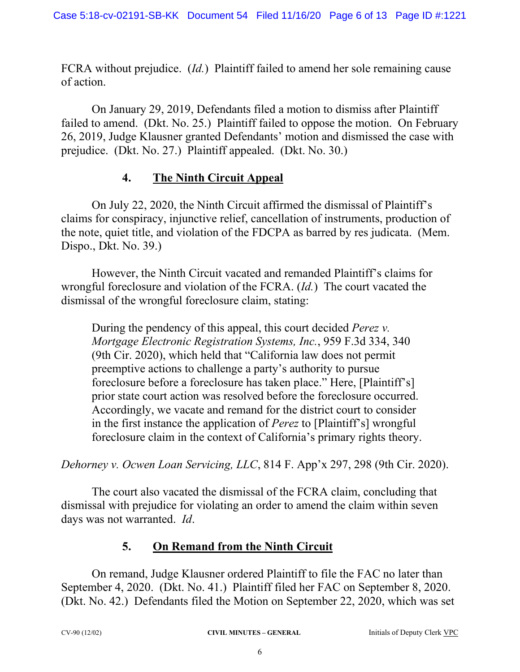FCRA without prejudice. (*Id.*) Plaintiff failed to amend her sole remaining cause of action.

On January 29, 2019, Defendants filed a motion to dismiss after Plaintiff failed to amend. (Dkt. No. 25.) Plaintiff failed to oppose the motion. On February 26, 2019, Judge Klausner granted Defendants' motion and dismissed the case with prejudice. (Dkt. No. 27.) Plaintiff appealed. (Dkt. No. 30.)

#### **4. The Ninth Circuit Appeal**

On July 22, 2020, the Ninth Circuit affirmed the dismissal of Plaintiff's claims for conspiracy, injunctive relief, cancellation of instruments, production of the note, quiet title, and violation of the FDCPA as barred by res judicata. (Mem. Dispo., Dkt. No. 39.)

However, the Ninth Circuit vacated and remanded Plaintiff's claims for wrongful foreclosure and violation of the FCRA. (*Id.*) The court vacated the dismissal of the wrongful foreclosure claim, stating:

During the pendency of this appeal, this court decided *Perez v. Mortgage Electronic Registration Systems, Inc.*, 959 F.3d 334, 340 (9th Cir. 2020), which held that "California law does not permit preemptive actions to challenge a party's authority to pursue foreclosure before a foreclosure has taken place." Here, [Plaintiff's] prior state court action was resolved before the foreclosure occurred. Accordingly, we vacate and remand for the district court to consider in the first instance the application of *Perez* to [Plaintiff's] wrongful foreclosure claim in the context of California's primary rights theory.

*Dehorney v. Ocwen Loan Servicing, LLC*, 814 F. App'x 297, 298 (9th Cir. 2020).

The court also vacated the dismissal of the FCRA claim, concluding that dismissal with prejudice for violating an order to amend the claim within seven days was not warranted. *Id*.

## **5. On Remand from the Ninth Circuit**

On remand, Judge Klausner ordered Plaintiff to file the FAC no later than September 4, 2020. (Dkt. No. 41.) Plaintiff filed her FAC on September 8, 2020. (Dkt. No. 42.) Defendants filed the Motion on September 22, 2020, which was set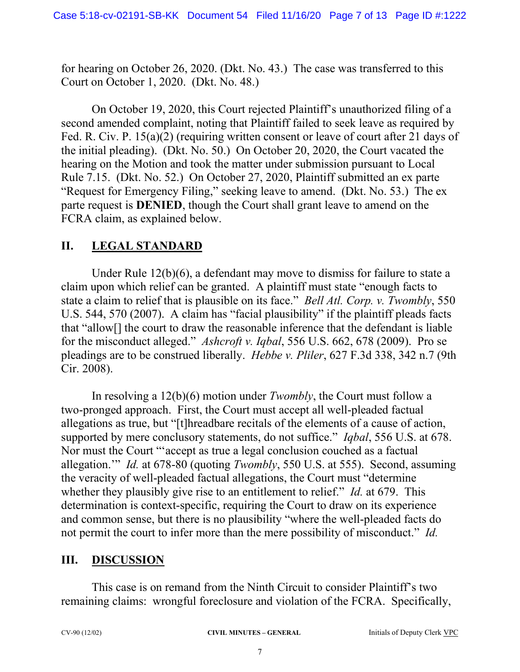for hearing on October 26, 2020. (Dkt. No. 43.) The case was transferred to this Court on October 1, 2020. (Dkt. No. 48.)

On October 19, 2020, this Court rejected Plaintiff's unauthorized filing of a second amended complaint, noting that Plaintiff failed to seek leave as required by Fed. R. Civ. P. 15(a)(2) (requiring written consent or leave of court after 21 days of the initial pleading). (Dkt. No. 50.) On October 20, 2020, the Court vacated the hearing on the Motion and took the matter under submission pursuant to Local Rule 7.15. (Dkt. No. 52.) On October 27, 2020, Plaintiff submitted an ex parte "Request for Emergency Filing," seeking leave to amend. (Dkt. No. 53.) The ex parte request is **DENIED**, though the Court shall grant leave to amend on the FCRA claim, as explained below.

#### **II. LEGAL STANDARD**

Under Rule 12(b)(6), a defendant may move to dismiss for failure to state a claim upon which relief can be granted. A plaintiff must state "enough facts to state a claim to relief that is plausible on its face." *Bell Atl. Corp. v. Twombly*, 550 U.S. 544, 570 (2007). A claim has "facial plausibility" if the plaintiff pleads facts that "allow[] the court to draw the reasonable inference that the defendant is liable for the misconduct alleged." *Ashcroft v. Iqbal*, 556 U.S. 662, 678 (2009). Pro se pleadings are to be construed liberally. *Hebbe v. Pliler*, 627 F.3d 338, 342 n.7 (9th Cir. 2008).

In resolving a 12(b)(6) motion under *Twombly*, the Court must follow a two-pronged approach. First, the Court must accept all well-pleaded factual allegations as true, but "[t]hreadbare recitals of the elements of a cause of action, supported by mere conclusory statements, do not suffice." *Iqbal*, 556 U.S. at 678. Nor must the Court "'accept as true a legal conclusion couched as a factual allegation.'" *Id.* at 678-80 (quoting *Twombly*, 550 U.S. at 555). Second, assuming the veracity of well-pleaded factual allegations, the Court must "determine whether they plausibly give rise to an entitlement to relief." *Id.* at 679. This determination is context-specific, requiring the Court to draw on its experience and common sense, but there is no plausibility "where the well-pleaded facts do not permit the court to infer more than the mere possibility of misconduct." *Id.* 

#### **III. DISCUSSION**

This case is on remand from the Ninth Circuit to consider Plaintiff's two remaining claims: wrongful foreclosure and violation of the FCRA. Specifically,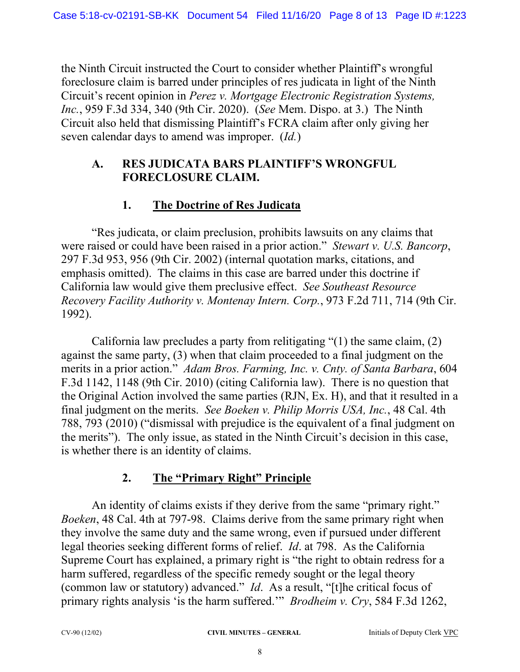the Ninth Circuit instructed the Court to consider whether Plaintiff's wrongful foreclosure claim is barred under principles of res judicata in light of the Ninth Circuit's recent opinion in *Perez v. Mortgage Electronic Registration Systems, Inc.*, 959 F.3d 334, 340 (9th Cir. 2020). (*See* Mem. Dispo. at 3.) The Ninth Circuit also held that dismissing Plaintiff's FCRA claim after only giving her seven calendar days to amend was improper. (*Id.*)

#### **A. RES JUDICATA BARS PLAINTIFF'S WRONGFUL FORECLOSURE CLAIM.**

# **1. The Doctrine of Res Judicata**

"Res judicata, or claim preclusion, prohibits lawsuits on any claims that were raised or could have been raised in a prior action." *Stewart v. U.S. Bancorp*, 297 F.3d 953, 956 (9th Cir. 2002) (internal quotation marks, citations, and emphasis omitted). The claims in this case are barred under this doctrine if California law would give them preclusive effect. *See Southeast Resource Recovery Facility Authority v. Montenay Intern. Corp.*, 973 F.2d 711, 714 (9th Cir. 1992).

California law precludes a party from relitigating "(1) the same claim, (2) against the same party, (3) when that claim proceeded to a final judgment on the merits in a prior action." *Adam Bros. Farming, Inc. v. Cnty. of Santa Barbara*, 604 F.3d 1142, 1148 (9th Cir. 2010) (citing California law). There is no question that the Original Action involved the same parties (RJN, Ex. H), and that it resulted in a final judgment on the merits. *See Boeken v. Philip Morris USA, Inc.*, 48 Cal. 4th 788, 793 (2010) ("dismissal with prejudice is the equivalent of a final judgment on the merits"). The only issue, as stated in the Ninth Circuit's decision in this case, is whether there is an identity of claims.

# **2. The "Primary Right" Principle**

An identity of claims exists if they derive from the same "primary right." *Boeken*, 48 Cal. 4th at 797-98. Claims derive from the same primary right when they involve the same duty and the same wrong, even if pursued under different legal theories seeking different forms of relief. *Id*. at 798. As the California Supreme Court has explained, a primary right is "the right to obtain redress for a harm suffered, regardless of the specific remedy sought or the legal theory (common law or statutory) advanced." *Id*. As a result, "[t]he critical focus of primary rights analysis 'is the harm suffered.'" *Brodheim v. Cry*, 584 F.3d 1262,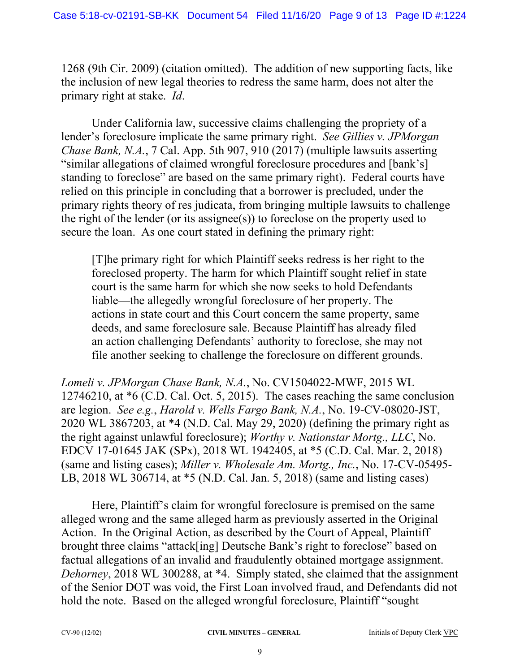1268 (9th Cir. 2009) (citation omitted). The addition of new supporting facts, like the inclusion of new legal theories to redress the same harm, does not alter the primary right at stake. *Id*.

Under California law, successive claims challenging the propriety of a lender's foreclosure implicate the same primary right. *See Gillies v. JPMorgan Chase Bank, N.A.*, 7 Cal. App. 5th 907, 910 (2017) (multiple lawsuits asserting "similar allegations of claimed wrongful foreclosure procedures and [bank's] standing to foreclose" are based on the same primary right). Federal courts have relied on this principle in concluding that a borrower is precluded, under the primary rights theory of res judicata, from bringing multiple lawsuits to challenge the right of the lender (or its assignee(s)) to foreclose on the property used to secure the loan. As one court stated in defining the primary right:

[T]he primary right for which Plaintiff seeks redress is her right to the foreclosed property. The harm for which Plaintiff sought relief in state court is the same harm for which she now seeks to hold Defendants liable—the allegedly wrongful foreclosure of her property. The actions in state court and this Court concern the same property, same deeds, and same foreclosure sale. Because Plaintiff has already filed an action challenging Defendants' authority to foreclose, she may not file another seeking to challenge the foreclosure on different grounds.

*Lomeli v. JPMorgan Chase Bank, N.A.*, No. CV1504022-MWF, 2015 WL 12746210, at \*6 (C.D. Cal. Oct. 5, 2015). The cases reaching the same conclusion are legion. *See e.g.*, *Harold v. Wells Fargo Bank, N.A.*, No. 19-CV-08020-JST, 2020 WL 3867203, at \*4 (N.D. Cal. May 29, 2020) (defining the primary right as the right against unlawful foreclosure); *Worthy v. Nationstar Mortg., LLC*, No. EDCV 17-01645 JAK (SPx), 2018 WL 1942405, at \*5 (C.D. Cal. Mar. 2, 2018) (same and listing cases); *Miller v. Wholesale Am. Mortg., Inc.*, No. 17-CV-05495- LB, 2018 WL 306714, at \*5 (N.D. Cal. Jan. 5, 2018) (same and listing cases)

Here, Plaintiff's claim for wrongful foreclosure is premised on the same alleged wrong and the same alleged harm as previously asserted in the Original Action. In the Original Action, as described by the Court of Appeal, Plaintiff brought three claims "attack[ing] Deutsche Bank's right to foreclose" based on factual allegations of an invalid and fraudulently obtained mortgage assignment. *Dehorney*, 2018 WL 300288, at \*4. Simply stated, she claimed that the assignment of the Senior DOT was void, the First Loan involved fraud, and Defendants did not hold the note. Based on the alleged wrongful foreclosure, Plaintiff "sought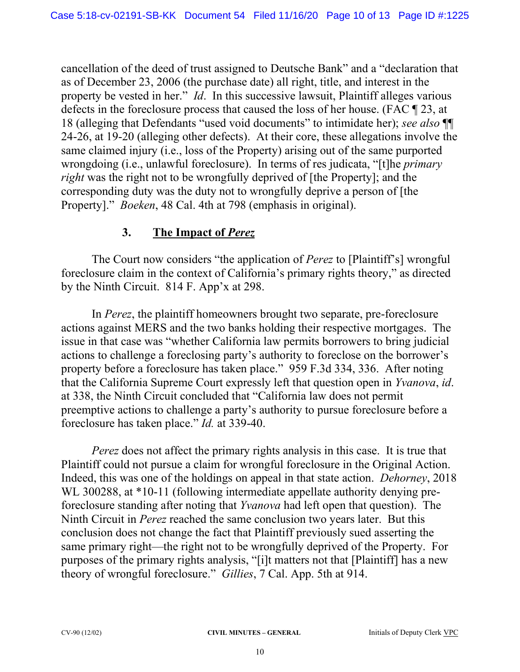cancellation of the deed of trust assigned to Deutsche Bank" and a "declaration that as of December 23, 2006 (the purchase date) all right, title, and interest in the property be vested in her." *Id*. In this successive lawsuit, Plaintiff alleges various defects in the foreclosure process that caused the loss of her house. (FAC ¶ 23, at 18 (alleging that Defendants "used void documents" to intimidate her); *see also* ¶¶ 24-26, at 19-20 (alleging other defects). At their core, these allegations involve the same claimed injury (i.e., loss of the Property) arising out of the same purported wrongdoing (i.e., unlawful foreclosure). In terms of res judicata, "[t]he *primary right* was the right not to be wrongfully deprived of [the Property]; and the corresponding duty was the duty not to wrongfully deprive a person of [the Property]." *Boeken*, 48 Cal. 4th at 798 (emphasis in original).

#### **3. The Impact of** *Perez*

The Court now considers "the application of *Perez* to [Plaintiff's] wrongful foreclosure claim in the context of California's primary rights theory," as directed by the Ninth Circuit. 814 F. App'x at 298.

In *Perez*, the plaintiff homeowners brought two separate, pre-foreclosure actions against MERS and the two banks holding their respective mortgages. The issue in that case was "whether California law permits borrowers to bring judicial actions to challenge a foreclosing party's authority to foreclose on the borrower's property before a foreclosure has taken place." 959 F.3d 334, 336. After noting that the California Supreme Court expressly left that question open in *Yvanova*, *id*. at 338, the Ninth Circuit concluded that "California law does not permit preemptive actions to challenge a party's authority to pursue foreclosure before a foreclosure has taken place." *Id.* at 339-40.

*Perez* does not affect the primary rights analysis in this case. It is true that Plaintiff could not pursue a claim for wrongful foreclosure in the Original Action. Indeed, this was one of the holdings on appeal in that state action. *Dehorney*, 2018 WL 300288, at \*10-11 (following intermediate appellate authority denying preforeclosure standing after noting that *Yvanova* had left open that question). The Ninth Circuit in *Perez* reached the same conclusion two years later. But this conclusion does not change the fact that Plaintiff previously sued asserting the same primary right—the right not to be wrongfully deprived of the Property. For purposes of the primary rights analysis, "[i]t matters not that [Plaintiff] has a new theory of wrongful foreclosure." *Gillies*, 7 Cal. App. 5th at 914.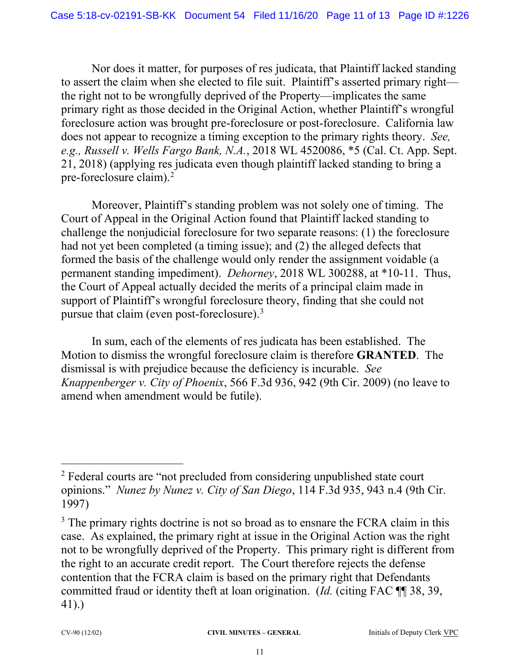Nor does it matter, for purposes of res judicata, that Plaintiff lacked standing to assert the claim when she elected to file suit. Plaintiff's asserted primary right the right not to be wrongfully deprived of the Property—implicates the same primary right as those decided in the Original Action, whether Plaintiff's wrongful foreclosure action was brought pre-foreclosure or post-foreclosure. California law does not appear to recognize a timing exception to the primary rights theory. *See, e.g., Russell v. Wells Fargo Bank, N.A.*, 2018 WL 4520086, \*5 (Cal. Ct. App. Sept. 21, 2018) (applying res judicata even though plaintiff lacked standing to bring a pre-foreclosure claim).<sup>2</sup>

Moreover, Plaintiff's standing problem was not solely one of timing. The Court of Appeal in the Original Action found that Plaintiff lacked standing to challenge the nonjudicial foreclosure for two separate reasons: (1) the foreclosure had not yet been completed (a timing issue); and (2) the alleged defects that formed the basis of the challenge would only render the assignment voidable (a permanent standing impediment). *Dehorney*, 2018 WL 300288, at \*10-11. Thus, the Court of Appeal actually decided the merits of a principal claim made in support of Plaintiff's wrongful foreclosure theory, finding that she could not pursue that claim (even post-foreclosure).<sup>3</sup>

In sum, each of the elements of res judicata has been established. The Motion to dismiss the wrongful foreclosure claim is therefore **GRANTED**. The dismissal is with prejudice because the deficiency is incurable. *See Knappenberger v. City of Phoenix*, 566 F.3d 936, 942 (9th Cir. 2009) (no leave to amend when amendment would be futile).

<sup>&</sup>lt;sup>2</sup> Federal courts are "not precluded from considering unpublished state court opinions." *Nunez by Nunez v. City of San Diego*, 114 F.3d 935, 943 n.4 (9th Cir. 1997)

<sup>&</sup>lt;sup>3</sup> The primary rights doctrine is not so broad as to ensnare the FCRA claim in this case. As explained, the primary right at issue in the Original Action was the right not to be wrongfully deprived of the Property. This primary right is different from the right to an accurate credit report. The Court therefore rejects the defense contention that the FCRA claim is based on the primary right that Defendants committed fraud or identity theft at loan origination. (*Id.* (citing FAC ¶¶ 38, 39, 41).)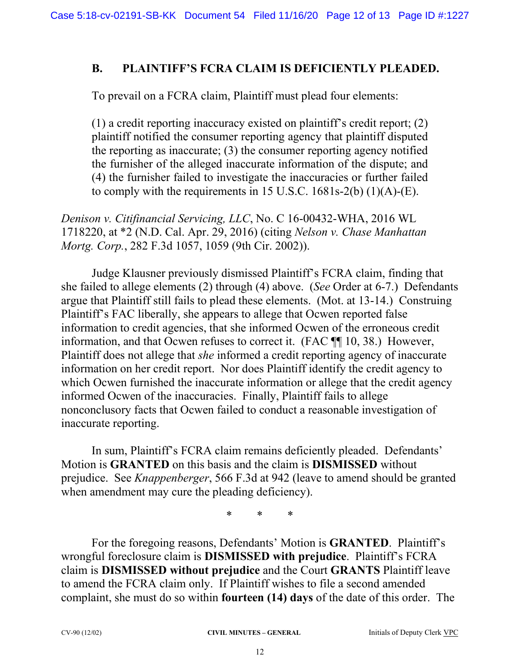#### **B. PLAINTIFF'S FCRA CLAIM IS DEFICIENTLY PLEADED.**

To prevail on a FCRA claim, Plaintiff must plead four elements:

(1) a credit reporting inaccuracy existed on plaintiff's credit report; (2) plaintiff notified the consumer reporting agency that plaintiff disputed the reporting as inaccurate; (3) the consumer reporting agency notified the furnisher of the alleged inaccurate information of the dispute; and (4) the furnisher failed to investigate the inaccuracies or further failed to comply with the requirements in 15 U.S.C. 1681s-2(b) (1)(A)-(E).

*Denison v. Citifinancial Servicing, LLC*, No. C 16-00432-WHA, 2016 WL 1718220, at \*2 (N.D. Cal. Apr. 29, 2016) (citing *Nelson v. Chase Manhattan Mortg. Corp.*, 282 F.3d 1057, 1059 (9th Cir. 2002)).

Judge Klausner previously dismissed Plaintiff's FCRA claim, finding that she failed to allege elements (2) through (4) above. (*See* Order at 6-7.) Defendants argue that Plaintiff still fails to plead these elements. (Mot. at 13-14.) Construing Plaintiff's FAC liberally, she appears to allege that Ocwen reported false information to credit agencies, that she informed Ocwen of the erroneous credit information, and that Ocwen refuses to correct it. (FAC ¶¶ 10, 38.) However, Plaintiff does not allege that *she* informed a credit reporting agency of inaccurate information on her credit report. Nor does Plaintiff identify the credit agency to which Ocwen furnished the inaccurate information or allege that the credit agency informed Ocwen of the inaccuracies. Finally, Plaintiff fails to allege nonconclusory facts that Ocwen failed to conduct a reasonable investigation of inaccurate reporting.

In sum, Plaintiff's FCRA claim remains deficiently pleaded. Defendants' Motion is **GRANTED** on this basis and the claim is **DISMISSED** without prejudice. See *Knappenberger*, 566 F.3d at 942 (leave to amend should be granted when amendment may cure the pleading deficiency).

\* \* \*

For the foregoing reasons, Defendants' Motion is **GRANTED**. Plaintiff's wrongful foreclosure claim is **DISMISSED with prejudice**. Plaintiff's FCRA claim is **DISMISSED without prejudice** and the Court **GRANTS** Plaintiff leave to amend the FCRA claim only. If Plaintiff wishes to file a second amended complaint, she must do so within **fourteen (14) days** of the date of this order. The